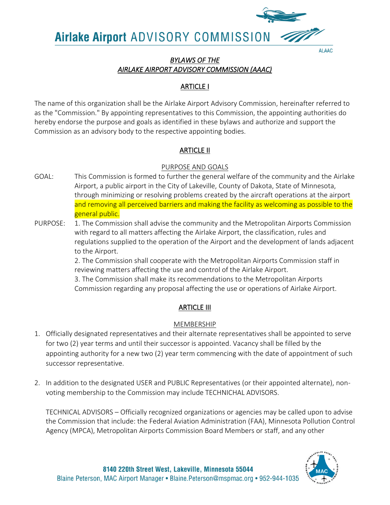

#### **ALAAC**

## *BYLAWS OF THE AIRLAKE AIRPORT ADVISORY COMMISSION (AAAC)*

## ARTICLE I

The name of this organization shall be the Airlake Airport Advisory Commission, hereinafter referred to as the "Commission." By appointing representatives to this Commission, the appointing authorities do hereby endorse the purpose and goals as identified in these bylaws and authorize and support the Commission as an advisory body to the respective appointing bodies.

## ARTICLE II

#### PURPOSE AND GOALS

- GOAL: This Commission is formed to further the general welfare of the community and the Airlake Airport, a public airport in the City of Lakeville, County of Dakota, State of Minnesota, through minimizing or resolving problems created by the aircraft operations at the airport and removing all perceived barriers and making the facility as welcoming as possible to the general public.
- PURPOSE: 1. The Commission shall advise the community and the Metropolitan Airports Commission with regard to all matters affecting the Airlake Airport, the classification, rules and regulations supplied to the operation of the Airport and the development of lands adjacent to the Airport.

2. The Commission shall cooperate with the Metropolitan Airports Commission staff in reviewing matters affecting the use and control of the Airlake Airport.

3. The Commission shall make its recommendations to the Metropolitan Airports Commission regarding any proposal affecting the use or operations of Airlake Airport.

## **ARTICLE III**

## MEMBERSHIP

- 1. Officially designated representatives and their alternate representatives shall be appointed to serve for two (2) year terms and until their successor is appointed. Vacancy shall be filled by the appointing authority for a new two (2) year term commencing with the date of appointment of such successor representative.
- 2. In addition to the designated USER and PUBLIC Representatives (or their appointed alternate), nonvoting membership to the Commission may include TECHNICHAL ADVISORS.

TECHNICAL ADVISORS – Officially recognized organizations or agencies may be called upon to advise the Commission that include: the Federal Aviation Administration (FAA), Minnesota Pollution Control Agency (MPCA), Metropolitan Airports Commission Board Members or staff, and any other

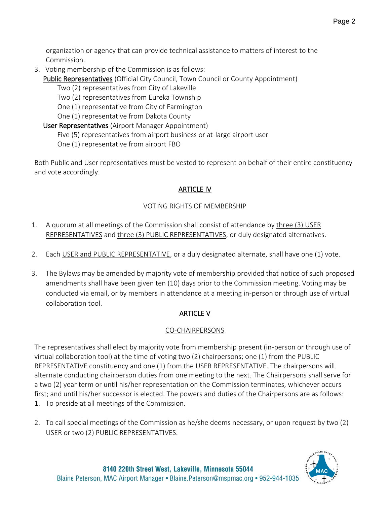organization or agency that can provide technical assistance to matters of interest to the Commission.

3. Voting membership of the Commission is as follows:

Public Representatives (Official City Council, Town Council or County Appointment)

Two (2) representatives from City of Lakeville

Two (2) representatives from Eureka Township

One (1) representative from City of Farmington

One (1) representative from Dakota County

User Representatives (Airport Manager Appointment)

Five (5) representatives from airport business or at-large airport user

One (1) representative from airport FBO

Both Public and User representatives must be vested to represent on behalf of their entire constituency and vote accordingly.

# ARTICLE IV

## VOTING RIGHTS OF MEMBERSHIP

- 1. A quorum at all meetings of the Commission shall consist of attendance by three (3) USER REPRESENTATIVES and three (3) PUBLIC REPRESENTATIVES, or duly designated alternatives.
- 2. Each USER and PUBLIC REPRESENTATIVE, or a duly designated alternate, shall have one (1) vote.
- 3. The Bylaws may be amended by majority vote of membership provided that notice of such proposed amendments shall have been given ten (10) days prior to the Commission meeting. Voting may be conducted via email, or by members in attendance at a meeting in-person or through use of virtual collaboration tool.

# ARTICLE V

# CO-CHAIRPERSONS

The representatives shall elect by majority vote from membership present (in-person or through use of virtual collaboration tool) at the time of voting two (2) chairpersons; one (1) from the PUBLIC REPRESENTATIVE constituency and one (1) from the USER REPRESENTATIVE. The chairpersons will alternate conducting chairperson duties from one meeting to the next. The Chairpersons shall serve for a two (2) year term or until his/her representation on the Commission terminates, whichever occurs first; and until his/her successor is elected. The powers and duties of the Chairpersons are as follows: 1. To preside at all meetings of the Commission.

2. To call special meetings of the Commission as he/she deems necessary, or upon request by two (2) USER or two (2) PUBLIC REPRESENTATIVES.